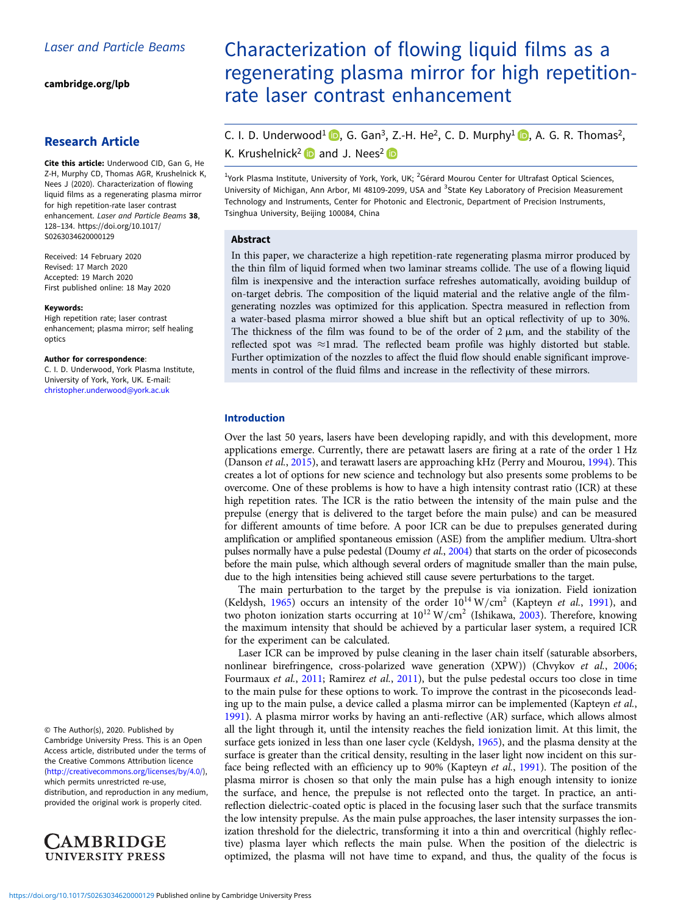[cambridge.org/lpb](https://www.cambridge.org/lpb)

## Research Article

Cite this article: Underwood CID, Gan G, He Z-H, Murphy CD, Thomas AGR, Krushelnick K, Nees J (2020). Characterization of flowing liquid films as a regenerating plasma mirror for high repetition-rate laser contrast enhancement. Laser and Particle Beams 38, 128–134. [https://doi.org/10.1017/](https://doi.org/10.1017/S0263034620000129) [S0263034620000129](https://doi.org/10.1017/S0263034620000129)

Received: 14 February 2020 Revised: 17 March 2020 Accepted: 19 March 2020 First published online: 18 May 2020

#### Keywords:

High repetition rate; laser contrast enhancement; plasma mirror; self healing optics

#### Author for correspondence:

C. I. D. Underwood, York Plasma Institute, University of York, York, UK. E-mail: [christopher.underwood@york.ac.uk](mailto:christopher.underwood@york.ac.uk)

© The Author(s), 2020. Published by Cambridge University Press. This is an Open Access article, distributed under the terms of the Creative Commons Attribution licence ([http://creativecommons.org/licenses/by/4.0/\)](http://creativecommons.org/licenses/by/4.0/), which permits unrestricted re-use, distribution, and reproduction in any medium, provided the original work is properly cited.



# Characterization of flowing liquid films as a regenerating plasma mirror for high repetitionrate laser contrast enhancement

C. I. D. Underwood<sup>1</sup> **D**[,](https://orcid.org/0000-0003-3849-3229) G. Gan<sup>3</sup>, Z.-H. He<sup>2</sup>, C. D. Murphy<sup>1</sup> **D**, A. G. R. Thomas<sup>2</sup>, K. Krushelnick<sup>2</sup> and J. Nees<sup>2</sup>

<sup>1</sup>York Plasma Institute, University of York, York, UK; <sup>2</sup>Gérard Mourou Center for Ultrafast Optical Sciences, University of Michigan, Ann Arbor, MI 48109-2099, USA and <sup>3</sup>State Key Laboratory of Precision Measurement Technology and Instruments, Center for Photonic and Electronic, Department of Precision Instruments, Tsinghua University, Beijing 100084, China

#### Abstract

In this paper, we characterize a high repetition-rate regenerating plasma mirror produced by the thin film of liquid formed when two laminar streams collide. The use of a flowing liquid film is inexpensive and the interaction surface refreshes automatically, avoiding buildup of on-target debris. The composition of the liquid material and the relative angle of the filmgenerating nozzles was optimized for this application. Spectra measured in reflection from a water-based plasma mirror showed a blue shift but an optical reflectivity of up to 30%. The thickness of the film was found to be of the order of  $2 \mu m$ , and the stability of the reflected spot was ≈1 mrad. The reflected beam profile was highly distorted but stable. Further optimization of the nozzles to affect the fluid flow should enable significant improvements in control of the fluid films and increase in the reflectivity of these mirrors.

## Introduction

Over the last 50 years, lasers have been developing rapidly, and with this development, more applications emerge. Currently, there are petawatt lasers are firing at a rate of the order 1 Hz (Danson et al., [2015](#page-5-0)), and terawatt lasers are approaching kHz (Perry and Mourou, [1994](#page-6-0)). This creates a lot of options for new science and technology but also presents some problems to be overcome. One of these problems is how to have a high intensity contrast ratio (ICR) at these high repetition rates. The ICR is the ratio between the intensity of the main pulse and the prepulse (energy that is delivered to the target before the main pulse) and can be measured for different amounts of time before. A poor ICR can be due to prepulses generated during amplification or amplified spontaneous emission (ASE) from the amplifier medium. Ultra-short pulses normally have a pulse pedestal (Doumy et al., [2004\)](#page-5-0) that starts on the order of picoseconds before the main pulse, which although several orders of magnitude smaller than the main pulse, due to the high intensities being achieved still cause severe perturbations to the target.

The main perturbation to the target by the prepulse is via ionization. Field ionization (Keldysh, [1965\)](#page-6-0) occurs an intensity of the order  $10^{14}$  W/cm<sup>2</sup> (Kapteyn et al., [1991\)](#page-5-0), and two photon ionization starts occurring at  $10^{12}$  W/cm<sup>2</sup> (Ishikawa, [2003\)](#page-5-0). Therefore, knowing the maximum intensity that should be achieved by a particular laser system, a required ICR for the experiment can be calculated.

Laser ICR can be improved by pulse cleaning in the laser chain itself (saturable absorbers, nonlinear birefringence, cross-polarized wave generation (XPW)) (Chvykov et al., [2006](#page-5-0); Fourmaux et al., [2011](#page-6-0); Ramirez et al., 2011), but the pulse pedestal occurs too close in time to the main pulse for these options to work. To improve the contrast in the picoseconds leading up to the main pulse, a device called a plasma mirror can be implemented (Kapteyn et al., [1991\)](#page-5-0). A plasma mirror works by having an anti-reflective (AR) surface, which allows almost all the light through it, until the intensity reaches the field ionization limit. At this limit, the surface gets ionized in less than one laser cycle (Keldysh, [1965](#page-6-0)), and the plasma density at the surface is greater than the critical density, resulting in the laser light now incident on this sur-face being reflected with an efficiency up to 90% (Kapteyn et al., [1991\)](#page-5-0). The position of the plasma mirror is chosen so that only the main pulse has a high enough intensity to ionize the surface, and hence, the prepulse is not reflected onto the target. In practice, an antireflection dielectric-coated optic is placed in the focusing laser such that the surface transmits the low intensity prepulse. As the main pulse approaches, the laser intensity surpasses the ionization threshold for the dielectric, transforming it into a thin and overcritical (highly reflective) plasma layer which reflects the main pulse. When the position of the dielectric is optimized, the plasma will not have time to expand, and thus, the quality of the focus is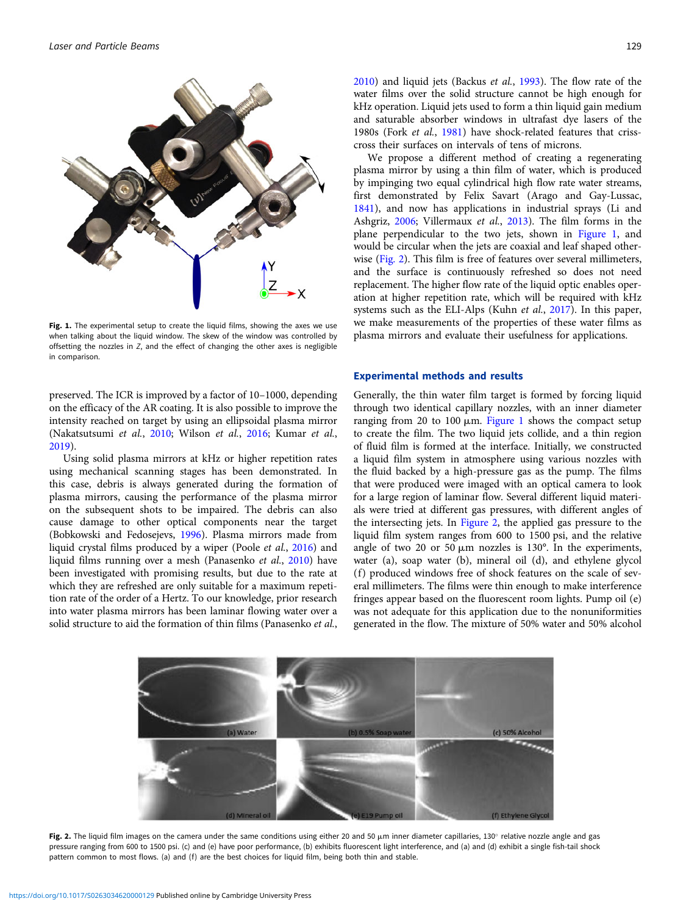<span id="page-1-0"></span>

Fig. 1. The experimental setup to create the liquid films, showing the axes we use when talking about the liquid window. The skew of the window was controlled by offsetting the nozzles in Z, and the effect of changing the other axes is negligible in comparison.

preserved. The ICR is improved by a factor of 10–1000, depending on the efficacy of the AR coating. It is also possible to improve the intensity reached on target by using an ellipsoidal plasma mirror (Nakatsutsumi et al., [2010](#page-6-0); Wilson et al., [2016;](#page-6-0) Kumar et al., [2019\)](#page-6-0).

Using solid plasma mirrors at kHz or higher repetition rates using mechanical scanning stages has been demonstrated. In this case, debris is always generated during the formation of plasma mirrors, causing the performance of the plasma mirror on the subsequent shots to be impaired. The debris can also cause damage to other optical components near the target (Bobkowski and Fedosejevs, [1996](#page-5-0)). Plasma mirrors made from liquid crystal films produced by a wiper (Poole et al., [2016](#page-6-0)) and liquid films running over a mesh (Panasenko et al., [2010\)](#page-6-0) have been investigated with promising results, but due to the rate at which they are refreshed are only suitable for a maximum repetition rate of the order of a Hertz. To our knowledge, prior research into water plasma mirrors has been laminar flowing water over a solid structure to aid the formation of thin films (Panasenko et al.,

[2010](#page-6-0)) and liquid jets (Backus et al., [1993\)](#page-5-0). The flow rate of the water films over the solid structure cannot be high enough for kHz operation. Liquid jets used to form a thin liquid gain medium and saturable absorber windows in ultrafast dye lasers of the 1980s (Fork et al., [1981\)](#page-5-0) have shock-related features that crisscross their surfaces on intervals of tens of microns.

We propose a different method of creating a regenerating plasma mirror by using a thin film of water, which is produced by impinging two equal cylindrical high flow rate water streams, first demonstrated by Felix Savart (Arago and Gay-Lussac, [1841](#page-5-0)), and now has applications in industrial sprays (Li and Ashgriz, [2006;](#page-6-0) Villermaux et al., [2013](#page-6-0)). The film forms in the plane perpendicular to the two jets, shown in Figure 1, and would be circular when the jets are coaxial and leaf shaped otherwise (Fig. 2). This film is free of features over several millimeters, and the surface is continuously refreshed so does not need replacement. The higher flow rate of the liquid optic enables operation at higher repetition rate, which will be required with kHz systems such as the ELI-Alps (Kuhn et al., [2017](#page-6-0)). In this paper, we make measurements of the properties of these water films as plasma mirrors and evaluate their usefulness for applications.

## Experimental methods and results

Generally, the thin water film target is formed by forcing liquid through two identical capillary nozzles, with an inner diameter ranging from 20 to 100  $\mu$ m. Figure 1 shows the compact setup to create the film. The two liquid jets collide, and a thin region of fluid film is formed at the interface. Initially, we constructed a liquid film system in atmosphere using various nozzles with the fluid backed by a high-pressure gas as the pump. The films that were produced were imaged with an optical camera to look for a large region of laminar flow. Several different liquid materials were tried at different gas pressures, with different angles of the intersecting jets. In Figure 2, the applied gas pressure to the liquid film system ranges from 600 to 1500 psi, and the relative angle of two 20 or 50  $\mu$ m nozzles is 130 $^{\circ}$ . In the experiments, water (a), soap water (b), mineral oil (d), and ethylene glycol (f) produced windows free of shock features on the scale of several millimeters. The films were thin enough to make interference fringes appear based on the fluorescent room lights. Pump oil (e) was not adequate for this application due to the nonuniformities generated in the flow. The mixture of 50% water and 50% alcohol



Fig. 2. The liquid film images on the camera under the same conditions using either 20 and 50 µm inner diameter capillaries, 130° relative nozzle angle and gas pressure ranging from 600 to 1500 psi. (c) and (e) have poor performance, (b) exhibits fluorescent light interference, and (a) and (d) exhibit a single fish-tail shock pattern common to most flows. (a) and (f) are the best choices for liquid film, being both thin and stable.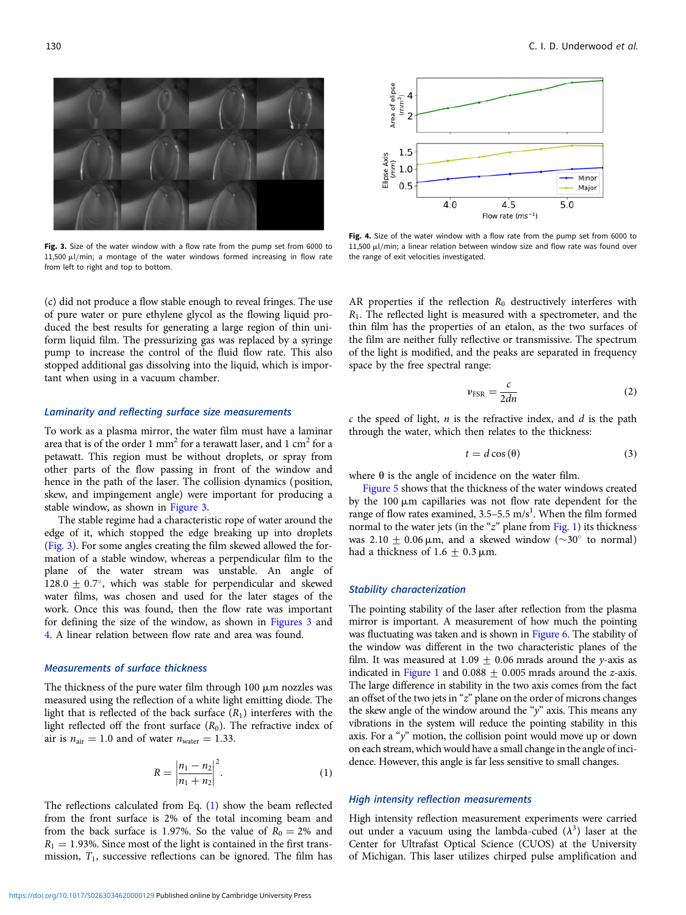

Fig. 3. Size of the water window with a flow rate from the pump set from 6000 to 11,500  $\mu$ l/min; a montage of the water windows formed increasing in flow rate from left to right and top to bottom.

(c) did not produce a flow stable enough to reveal fringes. The use of pure water or pure ethylene glycol as the flowing liquid produced the best results for generating a large region of thin uniform liquid film. The pressurizing gas was replaced by a syringe pump to increase the control of the fluid flow rate. This also stopped additional gas dissolving into the liquid, which is important when using in a vacuum chamber.

## Laminarity and reflecting surface size measurements

To work as a plasma mirror, the water film must have a laminar area that is of the order 1 mm<sup>2</sup> for a terawatt laser, and 1 cm<sup>2</sup> for a petawatt. This region must be without droplets, or spray from other parts of the flow passing in front of the window and hence in the path of the laser. The collision dynamics (position, skew, and impingement angle) were important for producing a stable window, as shown in Figure 3.

The stable regime had a characteristic rope of water around the edge of it, which stopped the edge breaking up into droplets (Fig. 3). For some angles creating the film skewed allowed the formation of a stable window, whereas a perpendicular film to the plane of the water stream was unstable. An angle of 128.0  $\pm$  0.7°, which was stable for perpendicular and skewed water films, was chosen and used for the later stages of the work. Once this was found, then the flow rate was important for defining the size of the window, as shown in Figures 3 and 4. A linear relation between flow rate and area was found.

#### Measurements of surface thickness

The thickness of the pure water film through 100  $\mu$ m nozzles was measured using the reflection of a white light emitting diode. The light that is reflected of the back surface  $(R_1)$  interferes with the light reflected off the front surface  $(R_0)$ . The refractive index of air is  $n_{\text{air}} = 1.0$  and of water  $n_{\text{water}} = 1.33$ .

$$
R = \left| \frac{n_1 - n_2}{n_1 + n_2} \right|^2.
$$
 (1)

The reflections calculated from Eq. (1) show the beam reflected from the front surface is 2% of the total incoming beam and from the back surface is 1.97%. So the value of  $R_0 = 2%$  and  $R_1 = 1.93\%$ . Since most of the light is contained in the first transmission,  $T_1$ , successive reflections can be ignored. The film has



Fig. 4. Size of the water window with a flow rate from the pump set from 6000 to  $11,500$   $\mu$ l/min; a linear relation between window size and flow rate was found over the range of exit velocities investigated.

AR properties if the reflection  $R_0$  destructively interferes with  $R_1$ . The reflected light is measured with a spectrometer, and the thin film has the properties of an etalon, as the two surfaces of the film are neither fully reflective or transmissive. The spectrum of the light is modified, and the peaks are separated in frequency space by the free spectral range:

$$
\nu_{\rm FSR} = \frac{c}{2dn} \tag{2}
$$

 $c$  the speed of light,  $n$  is the refractive index, and  $d$  is the path through the water, which then relates to the thickness:

$$
t = d\cos(\theta) \tag{3}
$$

where  $\theta$  is the angle of incidence on the water film.

[Figure 5](#page-3-0) shows that the thickness of the water windows created by the  $100 \mu m$  capillaries was not flow rate dependent for the range of flow rates examined,  $3.5-5.5$  m/s<sup>1</sup>. When the film formed normal to the water jets (in the " $z$ " plane from [Fig. 1\)](#page-1-0) its thickness was 2.10  $\pm$  0.06  $\mu$ m, and a skewed window ( $\sim$ 30° to normal) had a thickness of 1.6  $\pm$  0.3  $\mu$ m.

#### Stability characterization

The pointing stability of the laser after reflection from the plasma mirror is important. A measurement of how much the pointing was fluctuating was taken and is shown in [Figure 6](#page-3-0). The stability of the window was different in the two characteristic planes of the film. It was measured at 1.09  $\pm$  0.06 mrads around the y-axis as indicated in [Figure 1](#page-1-0) and 0.088  $\pm$  0.005 mrads around the *z*-axis. The large difference in stability in the two axis comes from the fact an offset of the two jets in "z" plane on the order of microns changes the skew angle of the window around the "y" axis. This means any vibrations in the system will reduce the pointing stability in this axis. For a " $y$ " motion, the collision point would move up or down on each stream, which would have a small change in the angle of incidence. However, this angle is far less sensitive to small changes.

#### High intensity reflection measurements

High intensity reflection measurement experiments were carried out under a vacuum using the lambda-cubed  $(\lambda^3)$  laser at the Center for Ultrafast Optical Science (CUOS) at the University of Michigan. This laser utilizes chirped pulse amplification and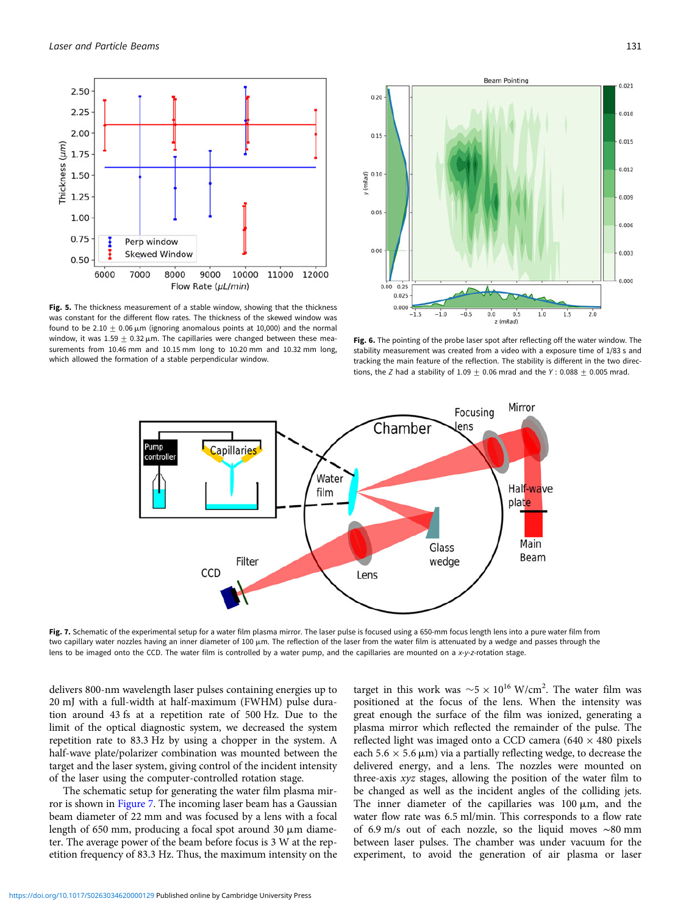<span id="page-3-0"></span>

Fig. 5. The thickness measurement of a stable window, showing that the thickness was constant for the different flow rates. The thickness of the skewed window was found to be 2.10  $\pm$  0.06  $\mu$ m (ignoring anomalous points at 10,000) and the normal window, it was  $1.59 \pm 0.32 \,\mu$ m. The capillaries were changed between these measurements from 10.46 mm and 10.15 mm long to 10.20 mm and 10.32 mm long, which allowed the formation of a stable perpendicular window.



Fig. 6. The pointing of the probe laser spot after reflecting off the water window. The stability measurement was created from a video with a exposure time of 1/83 s and tracking the main feature of the reflection. The stability is different in the two directions, the Z had a stability of  $1.09 + 0.06$  mrad and the Y: 0.088 + 0.005 mrad.



Fig. 7. Schematic of the experimental setup for a water film plasma mirror. The laser pulse is focused using a 650-mm focus length lens into a pure water film from two capillary water nozzles having an inner diameter of 100  $\mu$ m. The reflection of the laser from the water film is attenuated by a wedge and passes through the lens to be imaged onto the CCD. The water film is controlled by a water pump, and the capillaries are mounted on a x-y-z-rotation stage.

delivers 800-nm wavelength laser pulses containing energies up to 20 mJ with a full-width at half-maximum (FWHM) pulse duration around 43 fs at a repetition rate of 500 Hz. Due to the limit of the optical diagnostic system, we decreased the system repetition rate to 83.3 Hz by using a chopper in the system. A half-wave plate/polarizer combination was mounted between the target and the laser system, giving control of the incident intensity of the laser using the computer-controlled rotation stage.

The schematic setup for generating the water film plasma mirror is shown in Figure 7. The incoming laser beam has a Gaussian beam diameter of 22 mm and was focused by a lens with a focal length of 650 mm, producing a focal spot around 30  $\mu$ m diameter. The average power of the beam before focus is 3 W at the repetition frequency of 83.3 Hz. Thus, the maximum intensity on the

target in this work was  $\sim$  5  $\times$  10<sup>16</sup> W/cm<sup>2</sup>. The water film was positioned at the focus of the lens. When the intensity was great enough the surface of the film was ionized, generating a plasma mirror which reflected the remainder of the pulse. The reflected light was imaged onto a CCD camera ( $640 \times 480$  pixels each 5.6  $\times$  5.6  $\mu$ m) via a partially reflecting wedge, to decrease the delivered energy, and a lens. The nozzles were mounted on three-axis xyz stages, allowing the position of the water film to be changed as well as the incident angles of the colliding jets. The inner diameter of the capillaries was  $100 \mu m$ , and the water flow rate was 6.5 ml/min. This corresponds to a flow rate of 6.9 m/s out of each nozzle, so the liquid moves ∼80 mm between laser pulses. The chamber was under vacuum for the experiment, to avoid the generation of air plasma or laser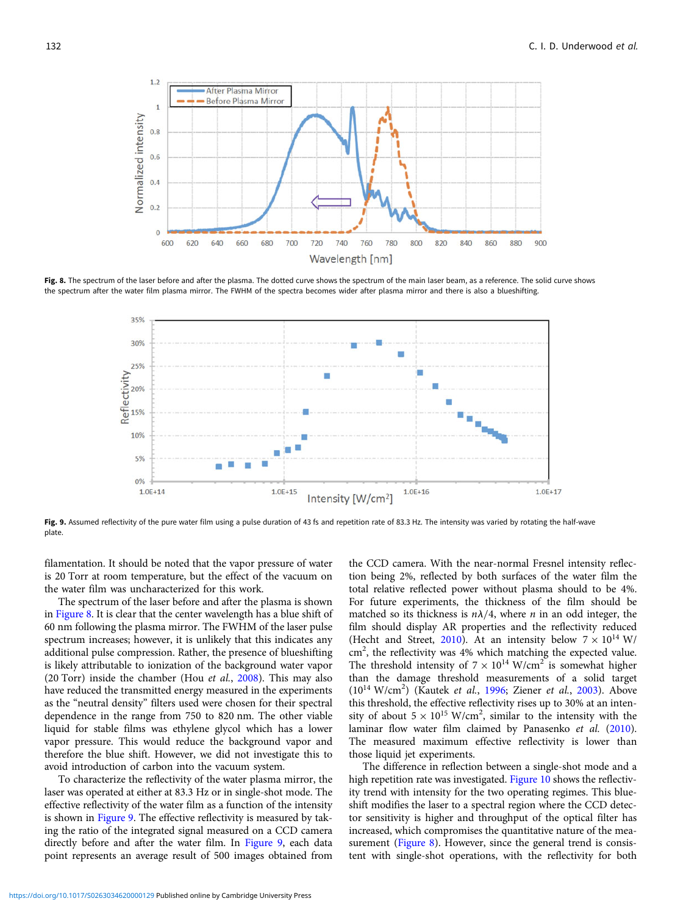

Fig. 8. The spectrum of the laser before and after the plasma. The dotted curve shows the spectrum of the main laser beam, as a reference. The solid curve shows the spectrum after the water film plasma mirror. The FWHM of the spectra becomes wider after plasma mirror and there is also a blueshifting.



Fig. 9. Assumed reflectivity of the pure water film using a pulse duration of 43 fs and repetition rate of 83.3 Hz. The intensity was varied by rotating the half-wave plate.

filamentation. It should be noted that the vapor pressure of water is 20 Torr at room temperature, but the effect of the vacuum on the water film was uncharacterized for this work.

The spectrum of the laser before and after the plasma is shown in Figure 8. It is clear that the center wavelength has a blue shift of 60 nm following the plasma mirror. The FWHM of the laser pulse spectrum increases; however, it is unlikely that this indicates any additional pulse compression. Rather, the presence of blueshifting is likely attributable to ionization of the background water vapor (20 Torr) inside the chamber (Hou et al., [2008\)](#page-5-0). This may also have reduced the transmitted energy measured in the experiments as the "neutral density" filters used were chosen for their spectral dependence in the range from 750 to 820 nm. The other viable liquid for stable films was ethylene glycol which has a lower vapor pressure. This would reduce the background vapor and therefore the blue shift. However, we did not investigate this to avoid introduction of carbon into the vacuum system.

To characterize the reflectivity of the water plasma mirror, the laser was operated at either at 83.3 Hz or in single-shot mode. The effective reflectivity of the water film as a function of the intensity is shown in Figure 9. The effective reflectivity is measured by taking the ratio of the integrated signal measured on a CCD camera directly before and after the water film. In Figure 9, each data point represents an average result of 500 images obtained from

the CCD camera. With the near-normal Fresnel intensity reflection being 2%, reflected by both surfaces of the water film the total relative reflected power without plasma should to be 4%. For future experiments, the thickness of the film should be matched so its thickness is  $n\lambda/4$ , where *n* in an odd integer, the film should display AR properties and the reflectivity reduced (Hecht and Street, [2010\)](#page-5-0). At an intensity below  $7 \times 10^{14}$  W/ cm<sup>2</sup>, the reflectivity was 4% which matching the expected value. The threshold intensity of  $7 \times 10^{14}$  W/cm<sup>2</sup> is somewhat higher than the damage threshold measurements of a solid target  $(10^{14} \text{ W/cm}^2)$  (Kautek et al., [1996;](#page-5-0) Ziener et al., [2003\)](#page-6-0). Above this threshold, the effective reflectivity rises up to 30% at an intensity of about  $5 \times 10^{15}$  W/cm<sup>2</sup>, similar to the intensity with the laminar flow water film claimed by Panasenko et al. ([2010](#page-6-0)). The measured maximum effective reflectivity is lower than those liquid jet experiments.

The difference in reflection between a single-shot mode and a high repetition rate was investigated. [Figure 10](#page-5-0) shows the reflectivity trend with intensity for the two operating regimes. This blueshift modifies the laser to a spectral region where the CCD detector sensitivity is higher and throughput of the optical filter has increased, which compromises the quantitative nature of the measurement (Figure 8). However, since the general trend is consistent with single-shot operations, with the reflectivity for both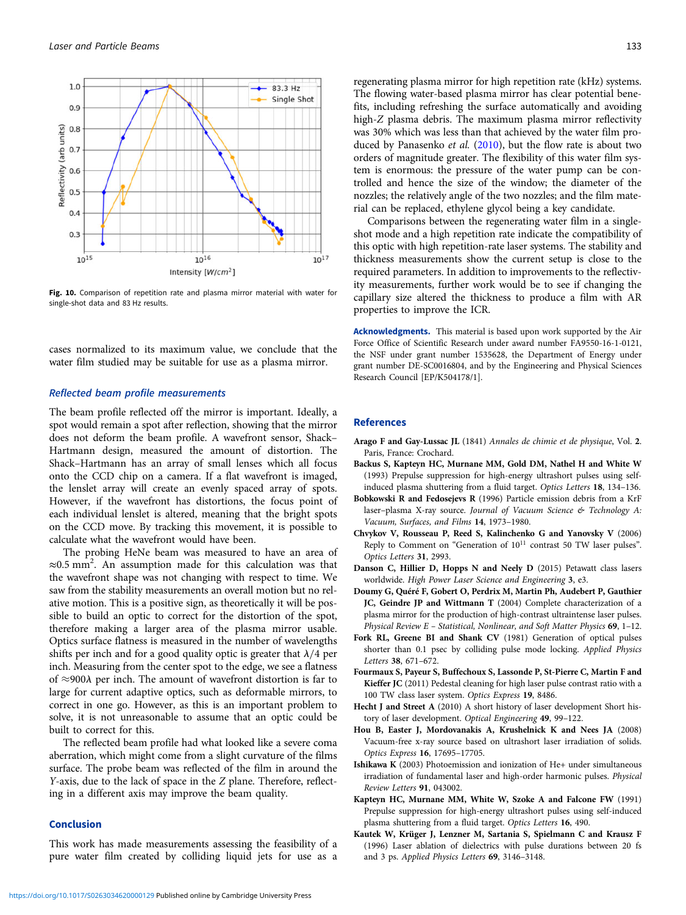<span id="page-5-0"></span>

Fig. 10. Comparison of repetition rate and plasma mirror material with water for single-shot data and 83 Hz results.

cases normalized to its maximum value, we conclude that the water film studied may be suitable for use as a plasma mirror.

## Reflected beam profile measurements

The beam profile reflected off the mirror is important. Ideally, a spot would remain a spot after reflection, showing that the mirror does not deform the beam profile. A wavefront sensor, Shack– Hartmann design, measured the amount of distortion. The Shack–Hartmann has an array of small lenses which all focus onto the CCD chip on a camera. If a flat wavefront is imaged, the lenslet array will create an evenly spaced array of spots. However, if the wavefront has distortions, the focus point of each individual lenslet is altered, meaning that the bright spots on the CCD move. By tracking this movement, it is possible to calculate what the wavefront would have been.

The probing HeNe beam was measured to have an area of ≈0.5 mm<sup>2</sup> . An assumption made for this calculation was that the wavefront shape was not changing with respect to time. We saw from the stability measurements an overall motion but no relative motion. This is a positive sign, as theoretically it will be possible to build an optic to correct for the distortion of the spot, therefore making a larger area of the plasma mirror usable. Optics surface flatness is measured in the number of wavelengths shifts per inch and for a good quality optic is greater that  $\lambda/4$  per inch. Measuring from the center spot to the edge, we see a flatness of  $\approx$ 900 $\lambda$  per inch. The amount of wavefront distortion is far to large for current adaptive optics, such as deformable mirrors, to correct in one go. However, as this is an important problem to solve, it is not unreasonable to assume that an optic could be built to correct for this.

The reflected beam profile had what looked like a severe coma aberration, which might come from a slight curvature of the films surface. The probe beam was reflected of the film in around the Y-axis, due to the lack of space in the Z plane. Therefore, reflecting in a different axis may improve the beam quality.

## Conclusion

This work has made measurements assessing the feasibility of a pure water film created by colliding liquid jets for use as a

regenerating plasma mirror for high repetition rate (kHz) systems. The flowing water-based plasma mirror has clear potential benefits, including refreshing the surface automatically and avoiding high-Z plasma debris. The maximum plasma mirror reflectivity was 30% which was less than that achieved by the water film produced by Panasenko et al. [\(2010\)](#page-6-0), but the flow rate is about two orders of magnitude greater. The flexibility of this water film system is enormous: the pressure of the water pump can be controlled and hence the size of the window; the diameter of the nozzles; the relatively angle of the two nozzles; and the film material can be replaced, ethylene glycol being a key candidate.

Comparisons between the regenerating water film in a singleshot mode and a high repetition rate indicate the compatibility of this optic with high repetition-rate laser systems. The stability and thickness measurements show the current setup is close to the required parameters. In addition to improvements to the reflectivity measurements, further work would be to see if changing the capillary size altered the thickness to produce a film with AR properties to improve the ICR.

Acknowledgments. This material is based upon work supported by the Air Force Office of Scientific Research under award number FA9550-16-1-0121, the NSF under grant number 1535628, the Department of Energy under grant number DE-SC0016804, and by the Engineering and Physical Sciences Research Council [EP/K504178/1].

#### References

- Arago F and Gay-Lussac JL (1841) Annales de chimie et de physique, Vol. 2. Paris, France: Crochard.
- Backus S, Kapteyn HC, Murnane MM, Gold DM, Nathel H and White W (1993) Prepulse suppression for high-energy ultrashort pulses using selfinduced plasma shuttering from a fluid target. Optics Letters 18, 134–136.
- Bobkowski R and Fedosejevs R (1996) Particle emission debris from a KrF laser-plasma X-ray source. Journal of Vacuum Science & Technology A: Vacuum, Surfaces, and Films 14, 1973–1980.
- Chvykov V, Rousseau P, Reed S, Kalinchenko G and Yanovsky V (2006) Reply to Comment on "Generation of  $10^{11}$  contrast 50 TW laser pulses". Optics Letters 31, 2993.
- Danson C, Hillier D, Hopps N and Neely D (2015) Petawatt class lasers worldwide. High Power Laser Science and Engineering 3, e3.
- Doumy G, Quéré F, Gobert O, Perdrix M, Martin Ph, Audebert P, Gauthier JC, Geindre JP and Wittmann T (2004) Complete characterization of a plasma mirror for the production of high-contrast ultraintense laser pulses. Physical Review E – Statistical, Nonlinear, and Soft Matter Physics 69, 1–12.
- Fork RL, Greene BI and Shank CV (1981) Generation of optical pulses shorter than 0.1 psec by colliding pulse mode locking. Applied Physics Letters 38, 671–672.
- Fourmaux S, Payeur S, Buffechoux S, Lassonde P, St-Pierre C, Martin F and Kieffer JC (2011) Pedestal cleaning for high laser pulse contrast ratio with a 100 TW class laser system. Optics Express 19, 8486.
- Hecht J and Street A (2010) A short history of laser development Short history of laser development. Optical Engineering 49, 99–122.
- Hou B, Easter J, Mordovanakis A, Krushelnick K and Nees JA (2008) Vacuum-free x-ray source based on ultrashort laser irradiation of solids. Optics Express 16, 17695–17705.
- Ishikawa K (2003) Photoemission and ionization of He+ under simultaneous irradiation of fundamental laser and high-order harmonic pulses. Physical Review Letters 91, 043002.
- Kapteyn HC, Murnane MM, White W, Szoke A and Falcone FW (1991) Prepulse suppression for high-energy ultrashort pulses using self-induced plasma shuttering from a fluid target. Optics Letters 16, 490.
- Kautek W, Krüger J, Lenzner M, Sartania S, Spielmann C and Krausz F (1996) Laser ablation of dielectrics with pulse durations between 20 fs and 3 ps. Applied Physics Letters 69, 3146–3148.